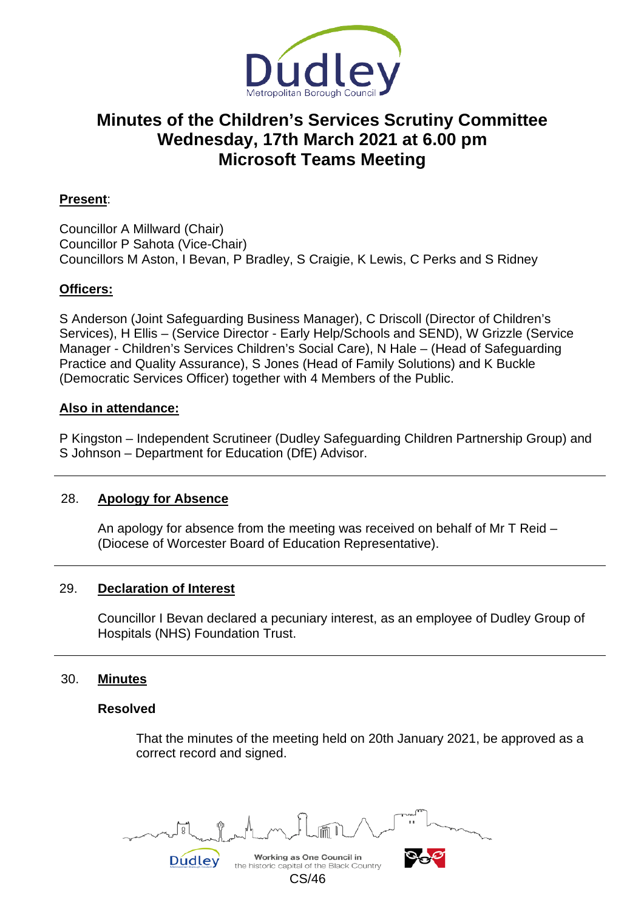

# **Minutes of the Children's Services Scrutiny Committee Wednesday, 17th March 2021 at 6.00 pm Microsoft Teams Meeting**

# **Present**:

Councillor A Millward (Chair) Councillor P Sahota (Vice-Chair) Councillors M Aston, I Bevan, P Bradley, S Craigie, K Lewis, C Perks and S Ridney

## **Officers:**

S Anderson (Joint Safeguarding Business Manager), C Driscoll (Director of Children's Services), H Ellis – (Service Director - Early Help/Schools and SEND), W Grizzle (Service Manager - Children's Services Children's Social Care), N Hale – (Head of Safeguarding Practice and Quality Assurance), S Jones (Head of Family Solutions) and K Buckle (Democratic Services Officer) together with 4 Members of the Public.

## **Also in attendance:**

P Kingston – Independent Scrutineer (Dudley Safeguarding Children Partnership Group) and S Johnson – Department for Education (DfE) Advisor.

## 28. **Apology for Absence**

An apology for absence from the meeting was received on behalf of Mr T Reid – (Diocese of Worcester Board of Education Representative).

## 29. **Declaration of Interest**

Councillor I Bevan declared a pecuniary interest, as an employee of Dudley Group of Hospitals (NHS) Foundation Trust.

## 30. **Minutes**

#### **Resolved**

That the minutes of the meeting held on 20th January 2021, be approved as a correct record and signed.

Working as One Council in Dudley

CS/46

the historic capital of the Black Country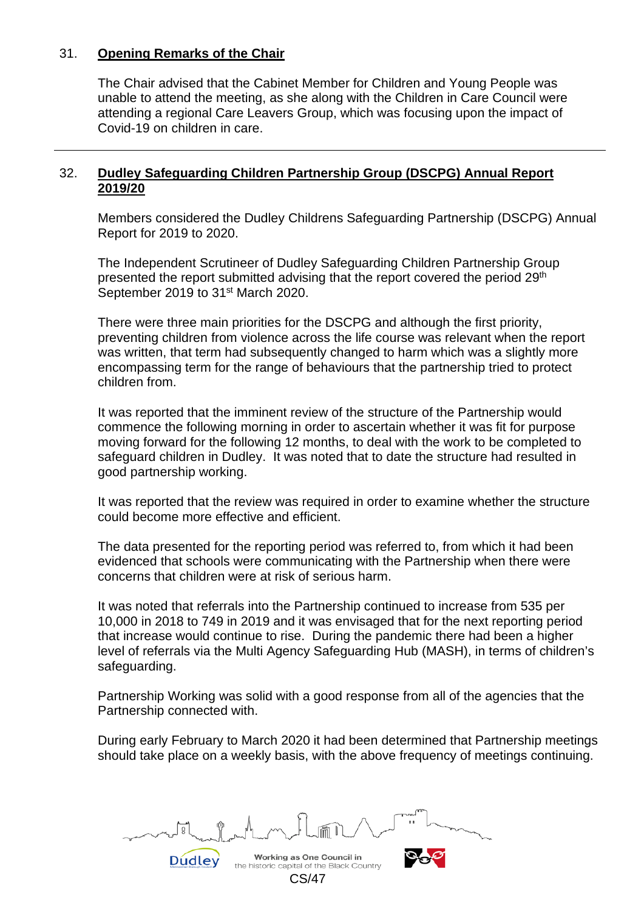## 31. **Opening Remarks of the Chair**

The Chair advised that the Cabinet Member for Children and Young People was unable to attend the meeting, as she along with the Children in Care Council were attending a regional Care Leavers Group, which was focusing upon the impact of Covid-19 on children in care.

## 32. **Dudley Safeguarding Children Partnership Group (DSCPG) Annual Report 2019/20**

Members considered the Dudley Childrens Safeguarding Partnership (DSCPG) Annual Report for 2019 to 2020.

The Independent Scrutineer of Dudley Safeguarding Children Partnership Group presented the report submitted advising that the report covered the period 29<sup>th</sup> September 2019 to 31<sup>st</sup> March 2020.

There were three main priorities for the DSCPG and although the first priority, preventing children from violence across the life course was relevant when the report was written, that term had subsequently changed to harm which was a slightly more encompassing term for the range of behaviours that the partnership tried to protect children from.

It was reported that the imminent review of the structure of the Partnership would commence the following morning in order to ascertain whether it was fit for purpose moving forward for the following 12 months, to deal with the work to be completed to safeguard children in Dudley. It was noted that to date the structure had resulted in good partnership working.

It was reported that the review was required in order to examine whether the structure could become more effective and efficient.

The data presented for the reporting period was referred to, from which it had been evidenced that schools were communicating with the Partnership when there were concerns that children were at risk of serious harm.

It was noted that referrals into the Partnership continued to increase from 535 per 10,000 in 2018 to 749 in 2019 and it was envisaged that for the next reporting period that increase would continue to rise. During the pandemic there had been a higher level of referrals via the Multi Agency Safeguarding Hub (MASH), in terms of children's safeguarding.

Partnership Working was solid with a good response from all of the agencies that the Partnership connected with.

During early February to March 2020 it had been determined that Partnership meetings should take place on a weekly basis, with the above frequency of meetings continuing.

Working as One Council in the historic capital of the Black Country CS/47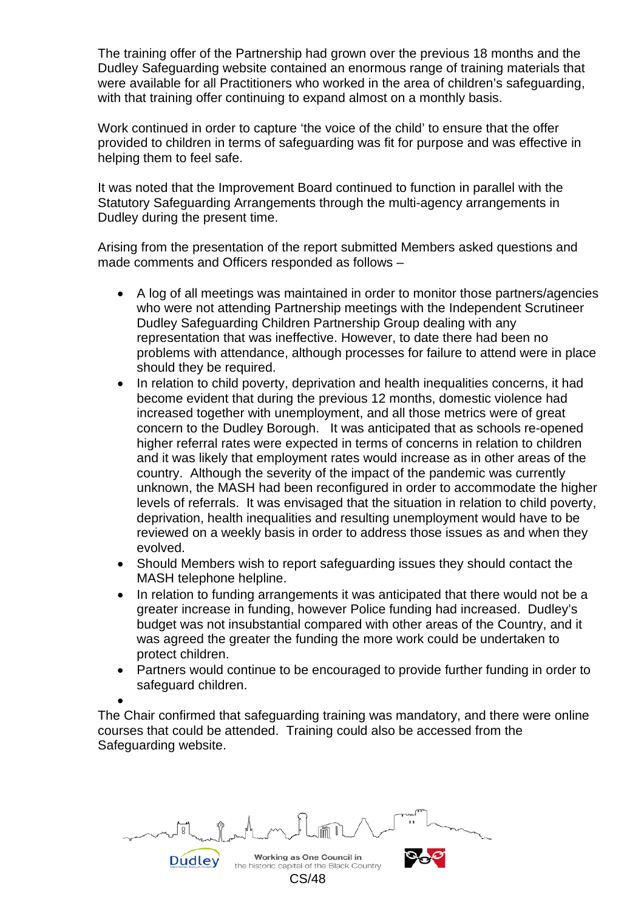The training offer of the Partnership had grown over the previous 18 months and the Dudley Safeguarding website contained an enormous range of training materials that were available for all Practitioners who worked in the area of children's safeguarding, with that training offer continuing to expand almost on a monthly basis.

Work continued in order to capture 'the voice of the child' to ensure that the offer provided to children in terms of safeguarding was fit for purpose and was effective in helping them to feel safe.

It was noted that the Improvement Board continued to function in parallel with the Statutory Safeguarding Arrangements through the multi-agency arrangements in Dudley during the present time.

Arising from the presentation of the report submitted Members asked questions and made comments and Officers responded as follows –

- A log of all meetings was maintained in order to monitor those partners/agencies who were not attending Partnership meetings with the Independent Scrutineer Dudley Safeguarding Children Partnership Group dealing with any representation that was ineffective. However, to date there had been no problems with attendance, although processes for failure to attend were in place should they be required.
- In relation to child poverty, deprivation and health inequalities concerns, it had become evident that during the previous 12 months, domestic violence had increased together with unemployment, and all those metrics were of great concern to the Dudley Borough. It was anticipated that as schools re-opened higher referral rates were expected in terms of concerns in relation to children and it was likely that employment rates would increase as in other areas of the country. Although the severity of the impact of the pandemic was currently unknown, the MASH had been reconfigured in order to accommodate the higher levels of referrals. It was envisaged that the situation in relation to child poverty, deprivation, health inequalities and resulting unemployment would have to be reviewed on a weekly basis in order to address those issues as and when they evolved.
- Should Members wish to report safeguarding issues they should contact the MASH telephone helpline.
- In relation to funding arrangements it was anticipated that there would not be a greater increase in funding, however Police funding had increased. Dudley's budget was not insubstantial compared with other areas of the Country, and it was agreed the greater the funding the more work could be undertaken to protect children.
- Partners would continue to be encouraged to provide further funding in order to safeguard children.

• The Chair confirmed that safeguarding training was mandatory, and there were online courses that could be attended. Training could also be accessed from the Safeguarding website.

Working as One Council in the historic capital of the Black Country

**Dudley** 

CS/48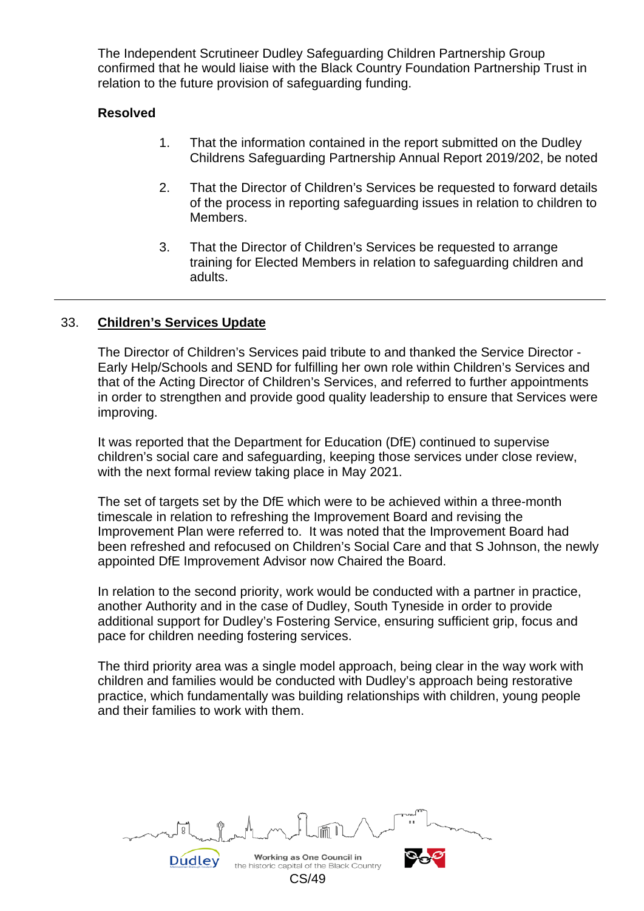The Independent Scrutineer Dudley Safeguarding Children Partnership Group confirmed that he would liaise with the Black Country Foundation Partnership Trust in relation to the future provision of safeguarding funding.

## **Resolved**

- 1. That the information contained in the report submitted on the Dudley Childrens Safeguarding Partnership Annual Report 2019/202, be noted
- 2. That the Director of Children's Services be requested to forward details of the process in reporting safeguarding issues in relation to children to Members.
- 3. That the Director of Children's Services be requested to arrange training for Elected Members in relation to safeguarding children and adults.

## 33. **Children's Services Update**

The Director of Children's Services paid tribute to and thanked the Service Director - Early Help/Schools and SEND for fulfilling her own role within Children's Services and that of the Acting Director of Children's Services, and referred to further appointments in order to strengthen and provide good quality leadership to ensure that Services were improving.

It was reported that the Department for Education (DfE) continued to supervise children's social care and safeguarding, keeping those services under close review, with the next formal review taking place in May 2021.

The set of targets set by the DfE which were to be achieved within a three-month timescale in relation to refreshing the Improvement Board and revising the Improvement Plan were referred to. It was noted that the Improvement Board had been refreshed and refocused on Children's Social Care and that S Johnson, the newly appointed DfE Improvement Advisor now Chaired the Board.

In relation to the second priority, work would be conducted with a partner in practice, another Authority and in the case of Dudley, South Tyneside in order to provide additional support for Dudley's Fostering Service, ensuring sufficient grip, focus and pace for children needing fostering services.

The third priority area was a single model approach, being clear in the way work with children and families would be conducted with Dudley's approach being restorative practice, which fundamentally was building relationships with children, young people and their families to work with them.

Working as One Council in the historic capital of the Black Country CS/49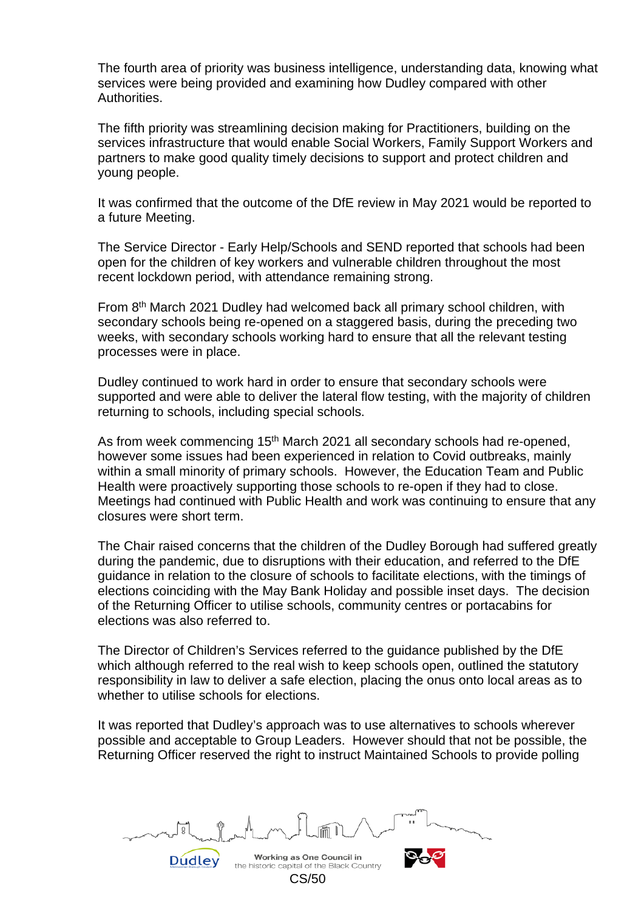The fourth area of priority was business intelligence, understanding data, knowing what services were being provided and examining how Dudley compared with other **Authorities** 

The fifth priority was streamlining decision making for Practitioners, building on the services infrastructure that would enable Social Workers, Family Support Workers and partners to make good quality timely decisions to support and protect children and young people.

It was confirmed that the outcome of the DfE review in May 2021 would be reported to a future Meeting.

The Service Director - Early Help/Schools and SEND reported that schools had been open for the children of key workers and vulnerable children throughout the most recent lockdown period, with attendance remaining strong.

From 8<sup>th</sup> March 2021 Dudley had welcomed back all primary school children, with secondary schools being re-opened on a staggered basis, during the preceding two weeks, with secondary schools working hard to ensure that all the relevant testing processes were in place.

Dudley continued to work hard in order to ensure that secondary schools were supported and were able to deliver the lateral flow testing, with the majority of children returning to schools, including special schools.

As from week commencing 15<sup>th</sup> March 2021 all secondary schools had re-opened, however some issues had been experienced in relation to Covid outbreaks, mainly within a small minority of primary schools. However, the Education Team and Public Health were proactively supporting those schools to re-open if they had to close. Meetings had continued with Public Health and work was continuing to ensure that any closures were short term.

The Chair raised concerns that the children of the Dudley Borough had suffered greatly during the pandemic, due to disruptions with their education, and referred to the DfE guidance in relation to the closure of schools to facilitate elections, with the timings of elections coinciding with the May Bank Holiday and possible inset days. The decision of the Returning Officer to utilise schools, community centres or portacabins for elections was also referred to.

The Director of Children's Services referred to the guidance published by the DfE which although referred to the real wish to keep schools open, outlined the statutory responsibility in law to deliver a safe election, placing the onus onto local areas as to whether to utilise schools for elections.

It was reported that Dudley's approach was to use alternatives to schools wherever possible and acceptable to Group Leaders. However should that not be possible, the Returning Officer reserved the right to instruct Maintained Schools to provide polling

Working as One Council in the historic capital of the Black Country CS/50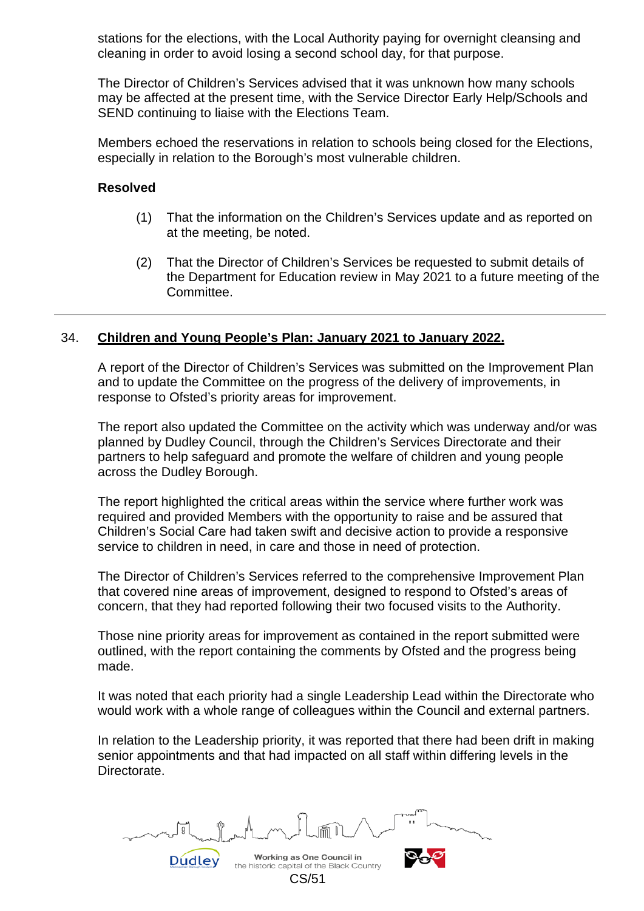stations for the elections, with the Local Authority paying for overnight cleansing and cleaning in order to avoid losing a second school day, for that purpose.

The Director of Children's Services advised that it was unknown how many schools may be affected at the present time, with the Service Director Early Help/Schools and SEND continuing to liaise with the Elections Team.

Members echoed the reservations in relation to schools being closed for the Elections, especially in relation to the Borough's most vulnerable children.

#### **Resolved**

- (1) That the information on the Children's Services update and as reported on at the meeting, be noted.
- (2) That the Director of Children's Services be requested to submit details of the Department for Education review in May 2021 to a future meeting of the Committee.

## 34. **Children and Young People's Plan: January 2021 to January 2022.**

A report of the Director of Children's Services was submitted on the Improvement Plan and to update the Committee on the progress of the delivery of improvements, in response to Ofsted's priority areas for improvement.

The report also updated the Committee on the activity which was underway and/or was planned by Dudley Council, through the Children's Services Directorate and their partners to help safeguard and promote the welfare of children and young people across the Dudley Borough.

The report highlighted the critical areas within the service where further work was required and provided Members with the opportunity to raise and be assured that Children's Social Care had taken swift and decisive action to provide a responsive service to children in need, in care and those in need of protection.

The Director of Children's Services referred to the comprehensive Improvement Plan that covered nine areas of improvement, designed to respond to Ofsted's areas of concern, that they had reported following their two focused visits to the Authority.

Those nine priority areas for improvement as contained in the report submitted were outlined, with the report containing the comments by Ofsted and the progress being made.

It was noted that each priority had a single Leadership Lead within the Directorate who would work with a whole range of colleagues within the Council and external partners.

In relation to the Leadership priority, it was reported that there had been drift in making senior appointments and that had impacted on all staff within differing levels in the Directorate.

Working as One Council in the historic capital of the Black Country CS/51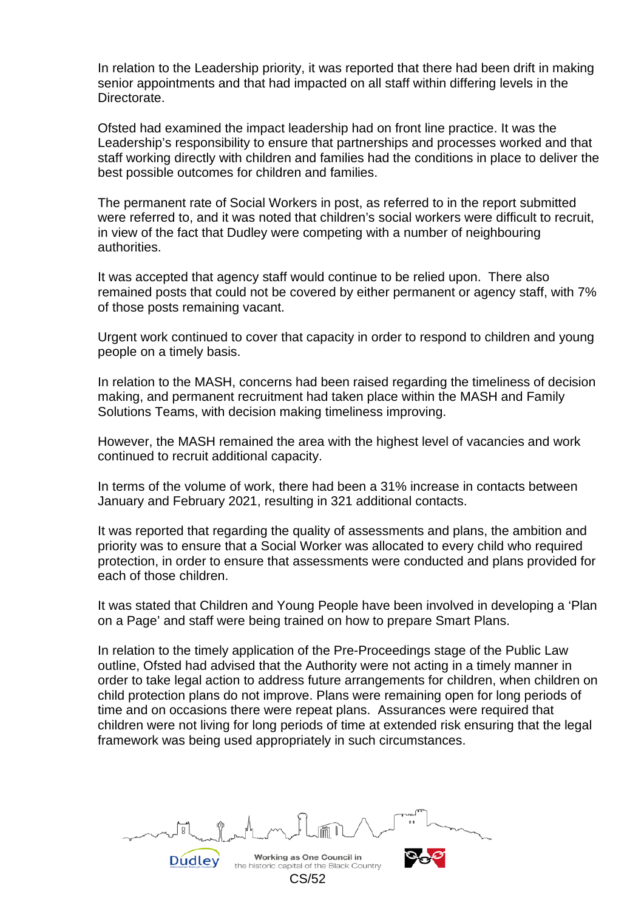In relation to the Leadership priority, it was reported that there had been drift in making senior appointments and that had impacted on all staff within differing levels in the **Directorate** 

Ofsted had examined the impact leadership had on front line practice. It was the Leadership's responsibility to ensure that partnerships and processes worked and that staff working directly with children and families had the conditions in place to deliver the best possible outcomes for children and families.

The permanent rate of Social Workers in post, as referred to in the report submitted were referred to, and it was noted that children's social workers were difficult to recruit, in view of the fact that Dudley were competing with a number of neighbouring authorities.

It was accepted that agency staff would continue to be relied upon. There also remained posts that could not be covered by either permanent or agency staff, with 7% of those posts remaining vacant.

Urgent work continued to cover that capacity in order to respond to children and young people on a timely basis.

In relation to the MASH, concerns had been raised regarding the timeliness of decision making, and permanent recruitment had taken place within the MASH and Family Solutions Teams, with decision making timeliness improving.

However, the MASH remained the area with the highest level of vacancies and work continued to recruit additional capacity.

In terms of the volume of work, there had been a 31% increase in contacts between January and February 2021, resulting in 321 additional contacts.

It was reported that regarding the quality of assessments and plans, the ambition and priority was to ensure that a Social Worker was allocated to every child who required protection, in order to ensure that assessments were conducted and plans provided for each of those children.

It was stated that Children and Young People have been involved in developing a 'Plan on a Page' and staff were being trained on how to prepare Smart Plans.

In relation to the timely application of the Pre-Proceedings stage of the Public Law outline, Ofsted had advised that the Authority were not acting in a timely manner in order to take legal action to address future arrangements for children, when children on child protection plans do not improve. Plans were remaining open for long periods of time and on occasions there were repeat plans. Assurances were required that children were not living for long periods of time at extended risk ensuring that the legal framework was being used appropriately in such circumstances.

Working as One Council in the historic capital of the Black Country CS/52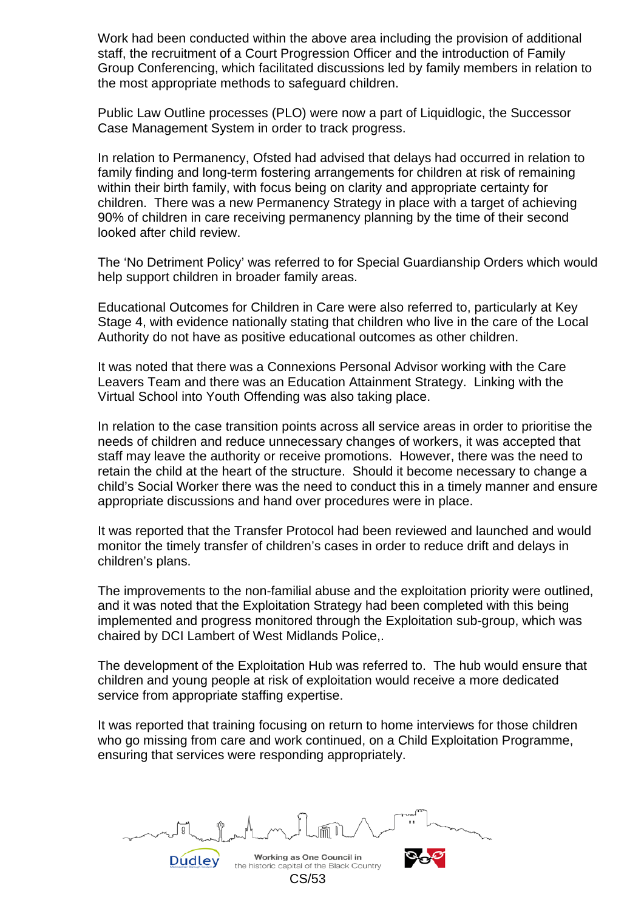Work had been conducted within the above area including the provision of additional staff, the recruitment of a Court Progression Officer and the introduction of Family Group Conferencing, which facilitated discussions led by family members in relation to the most appropriate methods to safeguard children.

Public Law Outline processes (PLO) were now a part of Liquidlogic, the Successor Case Management System in order to track progress.

In relation to Permanency, Ofsted had advised that delays had occurred in relation to family finding and long-term fostering arrangements for children at risk of remaining within their birth family, with focus being on clarity and appropriate certainty for children. There was a new Permanency Strategy in place with a target of achieving 90% of children in care receiving permanency planning by the time of their second looked after child review.

The 'No Detriment Policy' was referred to for Special Guardianship Orders which would help support children in broader family areas.

Educational Outcomes for Children in Care were also referred to, particularly at Key Stage 4, with evidence nationally stating that children who live in the care of the Local Authority do not have as positive educational outcomes as other children.

It was noted that there was a Connexions Personal Advisor working with the Care Leavers Team and there was an Education Attainment Strategy. Linking with the Virtual School into Youth Offending was also taking place.

In relation to the case transition points across all service areas in order to prioritise the needs of children and reduce unnecessary changes of workers, it was accepted that staff may leave the authority or receive promotions. However, there was the need to retain the child at the heart of the structure. Should it become necessary to change a child's Social Worker there was the need to conduct this in a timely manner and ensure appropriate discussions and hand over procedures were in place.

It was reported that the Transfer Protocol had been reviewed and launched and would monitor the timely transfer of children's cases in order to reduce drift and delays in children's plans.

The improvements to the non-familial abuse and the exploitation priority were outlined, and it was noted that the Exploitation Strategy had been completed with this being implemented and progress monitored through the Exploitation sub-group, which was chaired by DCI Lambert of West Midlands Police,.

The development of the Exploitation Hub was referred to. The hub would ensure that children and young people at risk of exploitation would receive a more dedicated service from appropriate staffing expertise.

It was reported that training focusing on return to home interviews for those children who go missing from care and work continued, on a Child Exploitation Programme, ensuring that services were responding appropriately.

Working as One Council in the historic capital of the Black Country CS/53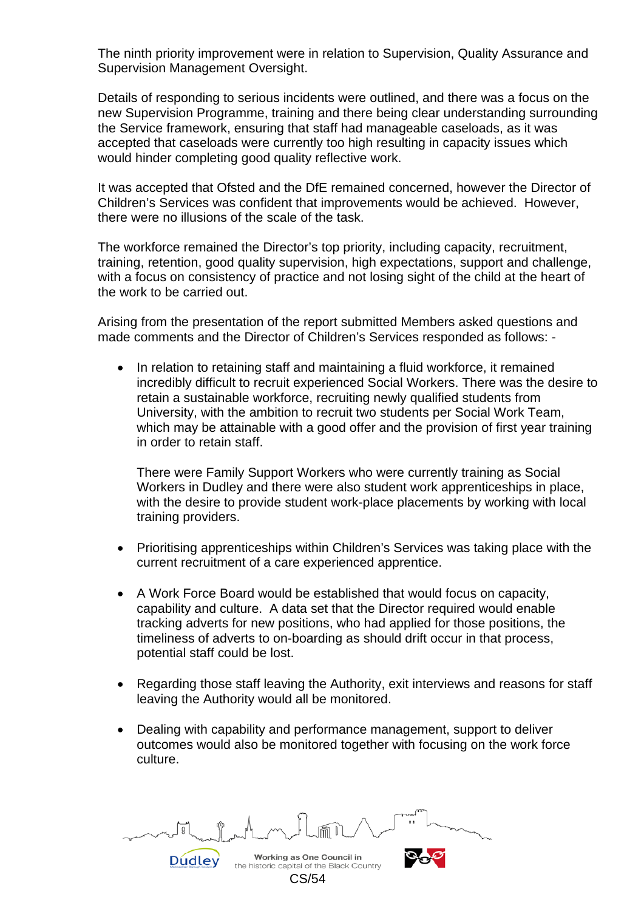The ninth priority improvement were in relation to Supervision, Quality Assurance and Supervision Management Oversight.

Details of responding to serious incidents were outlined, and there was a focus on the new Supervision Programme, training and there being clear understanding surrounding the Service framework, ensuring that staff had manageable caseloads, as it was accepted that caseloads were currently too high resulting in capacity issues which would hinder completing good quality reflective work.

It was accepted that Ofsted and the DfE remained concerned, however the Director of Children's Services was confident that improvements would be achieved. However, there were no illusions of the scale of the task.

The workforce remained the Director's top priority, including capacity, recruitment, training, retention, good quality supervision, high expectations, support and challenge, with a focus on consistency of practice and not losing sight of the child at the heart of the work to be carried out.

Arising from the presentation of the report submitted Members asked questions and made comments and the Director of Children's Services responded as follows: -

• In relation to retaining staff and maintaining a fluid workforce, it remained incredibly difficult to recruit experienced Social Workers. There was the desire to retain a sustainable workforce, recruiting newly qualified students from University, with the ambition to recruit two students per Social Work Team, which may be attainable with a good offer and the provision of first year training in order to retain staff.

There were Family Support Workers who were currently training as Social Workers in Dudley and there were also student work apprenticeships in place, with the desire to provide student work-place placements by working with local training providers.

- Prioritising apprenticeships within Children's Services was taking place with the current recruitment of a care experienced apprentice.
- A Work Force Board would be established that would focus on capacity, capability and culture. A data set that the Director required would enable tracking adverts for new positions, who had applied for those positions, the timeliness of adverts to on-boarding as should drift occur in that process, potential staff could be lost.
- Regarding those staff leaving the Authority, exit interviews and reasons for staff leaving the Authority would all be monitored.
- Dealing with capability and performance management, support to deliver outcomes would also be monitored together with focusing on the work force culture.

Working as One Council in Dudley

CS/54

the historic capital of the Black Country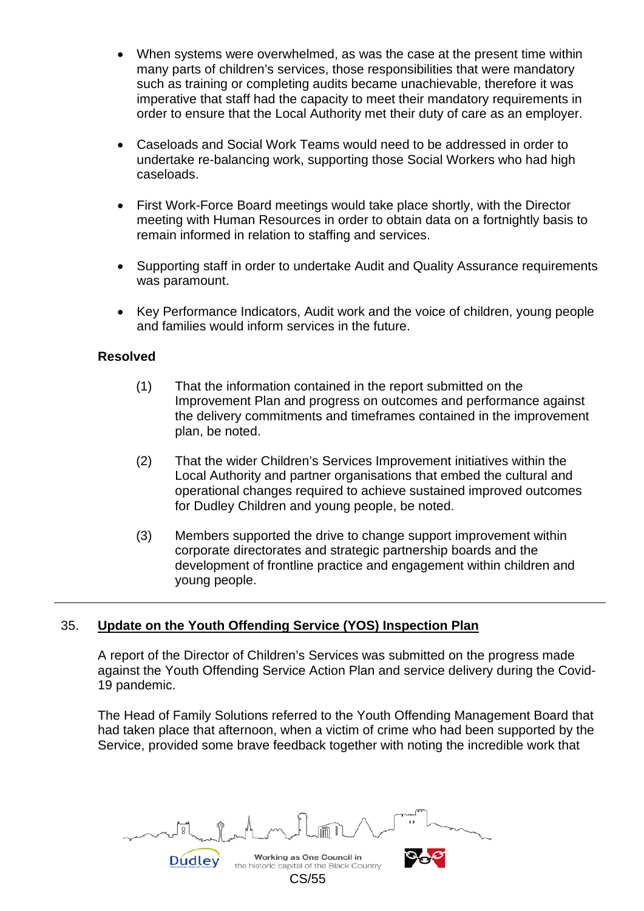- When systems were overwhelmed, as was the case at the present time within many parts of children's services, those responsibilities that were mandatory such as training or completing audits became unachievable, therefore it was imperative that staff had the capacity to meet their mandatory requirements in order to ensure that the Local Authority met their duty of care as an employer.
- Caseloads and Social Work Teams would need to be addressed in order to undertake re-balancing work, supporting those Social Workers who had high caseloads.
- First Work-Force Board meetings would take place shortly, with the Director meeting with Human Resources in order to obtain data on a fortnightly basis to remain informed in relation to staffing and services.
- Supporting staff in order to undertake Audit and Quality Assurance requirements was paramount.
- Key Performance Indicators, Audit work and the voice of children, young people and families would inform services in the future.

## **Resolved**

- (1) That the information contained in the report submitted on the Improvement Plan and progress on outcomes and performance against the delivery commitments and timeframes contained in the improvement plan, be noted.
- (2) That the wider Children's Services Improvement initiatives within the Local Authority and partner organisations that embed the cultural and operational changes required to achieve sustained improved outcomes for Dudley Children and young people, be noted.
- (3) Members supported the drive to change support improvement within corporate directorates and strategic partnership boards and the development of frontline practice and engagement within children and young people.

# 35. **Update on the Youth Offending Service (YOS) Inspection Plan**

A report of the Director of Children's Services was submitted on the progress made against the Youth Offending Service Action Plan and service delivery during the Covid-19 pandemic.

The Head of Family Solutions referred to the Youth Offending Management Board that had taken place that afternoon, when a victim of crime who had been supported by the Service, provided some brave feedback together with noting the incredible work that

Working as One Council in the historic capital of the Black Country CS/55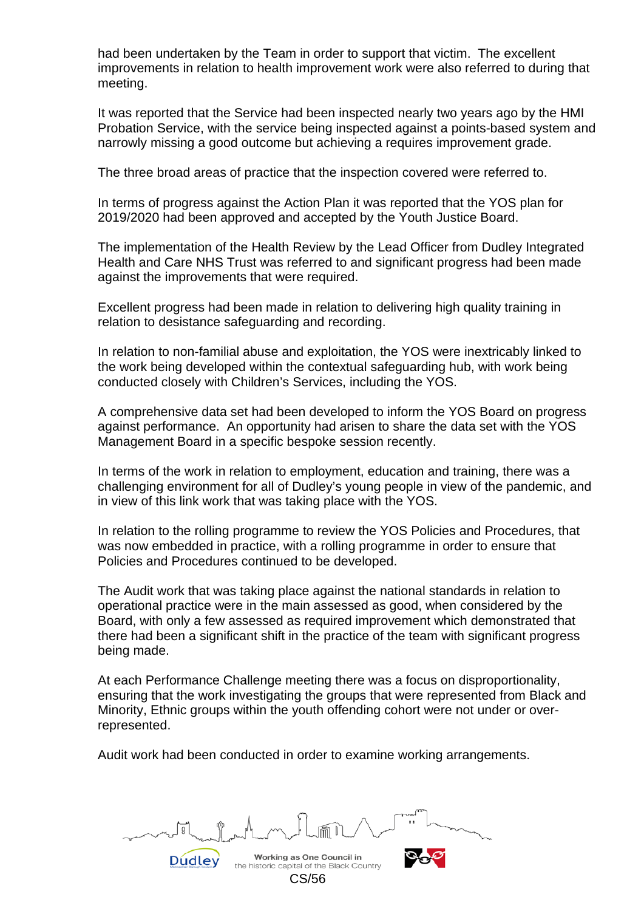had been undertaken by the Team in order to support that victim. The excellent improvements in relation to health improvement work were also referred to during that meeting.

It was reported that the Service had been inspected nearly two years ago by the HMI Probation Service, with the service being inspected against a points-based system and narrowly missing a good outcome but achieving a requires improvement grade.

The three broad areas of practice that the inspection covered were referred to.

In terms of progress against the Action Plan it was reported that the YOS plan for 2019/2020 had been approved and accepted by the Youth Justice Board.

The implementation of the Health Review by the Lead Officer from Dudley Integrated Health and Care NHS Trust was referred to and significant progress had been made against the improvements that were required.

Excellent progress had been made in relation to delivering high quality training in relation to desistance safeguarding and recording.

In relation to non-familial abuse and exploitation, the YOS were inextricably linked to the work being developed within the contextual safeguarding hub, with work being conducted closely with Children's Services, including the YOS.

A comprehensive data set had been developed to inform the YOS Board on progress against performance. An opportunity had arisen to share the data set with the YOS Management Board in a specific bespoke session recently.

In terms of the work in relation to employment, education and training, there was a challenging environment for all of Dudley's young people in view of the pandemic, and in view of this link work that was taking place with the YOS.

In relation to the rolling programme to review the YOS Policies and Procedures, that was now embedded in practice, with a rolling programme in order to ensure that Policies and Procedures continued to be developed.

The Audit work that was taking place against the national standards in relation to operational practice were in the main assessed as good, when considered by the Board, with only a few assessed as required improvement which demonstrated that there had been a significant shift in the practice of the team with significant progress being made.

At each Performance Challenge meeting there was a focus on disproportionality, ensuring that the work investigating the groups that were represented from Black and Minority, Ethnic groups within the youth offending cohort were not under or overrepresented.

Audit work had been conducted in order to examine working arrangements.

Working as One Council in the historic capital of the Black Country CS/56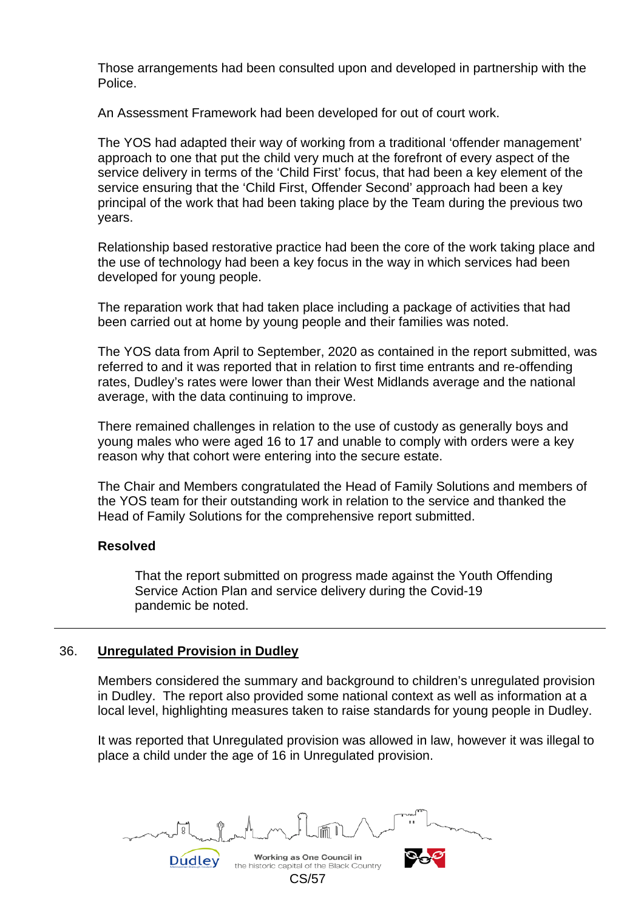Those arrangements had been consulted upon and developed in partnership with the Police.

An Assessment Framework had been developed for out of court work.

The YOS had adapted their way of working from a traditional 'offender management' approach to one that put the child very much at the forefront of every aspect of the service delivery in terms of the 'Child First' focus, that had been a key element of the service ensuring that the 'Child First, Offender Second' approach had been a key principal of the work that had been taking place by the Team during the previous two years.

Relationship based restorative practice had been the core of the work taking place and the use of technology had been a key focus in the way in which services had been developed for young people.

The reparation work that had taken place including a package of activities that had been carried out at home by young people and their families was noted.

The YOS data from April to September, 2020 as contained in the report submitted, was referred to and it was reported that in relation to first time entrants and re-offending rates, Dudley's rates were lower than their West Midlands average and the national average, with the data continuing to improve.

There remained challenges in relation to the use of custody as generally boys and young males who were aged 16 to 17 and unable to comply with orders were a key reason why that cohort were entering into the secure estate.

The Chair and Members congratulated the Head of Family Solutions and members of the YOS team for their outstanding work in relation to the service and thanked the Head of Family Solutions for the comprehensive report submitted.

## **Resolved**

 That the report submitted on progress made against the Youth Offending Service Action Plan and service delivery during the Covid-19 pandemic be noted.

## 36. **Unregulated Provision in Dudley**

Dudley

Members considered the summary and background to children's unregulated provision in Dudley. The report also provided some national context as well as information at a local level, highlighting measures taken to raise standards for young people in Dudley.

It was reported that Unregulated provision was allowed in law, however it was illegal to place a child under the age of 16 in Unregulated provision.

Working as One Council in the historic capital of the Black Country CS/57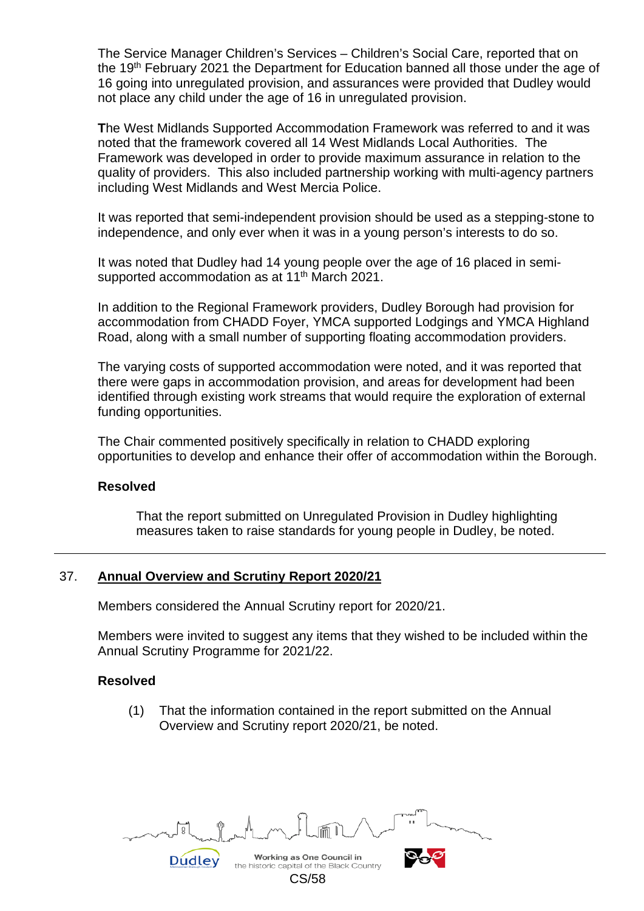The Service Manager Children's Services – Children's Social Care, reported that on the 19<sup>th</sup> February 2021 the Department for Education banned all those under the age of 16 going into unregulated provision, and assurances were provided that Dudley would not place any child under the age of 16 in unregulated provision.

**T**he West Midlands Supported Accommodation Framework was referred to and it was noted that the framework covered all 14 West Midlands Local Authorities. The Framework was developed in order to provide maximum assurance in relation to the quality of providers. This also included partnership working with multi-agency partners including West Midlands and West Mercia Police.

It was reported that semi-independent provision should be used as a stepping-stone to independence, and only ever when it was in a young person's interests to do so.

It was noted that Dudley had 14 young people over the age of 16 placed in semisupported accommodation as at 11<sup>th</sup> March 2021.

In addition to the Regional Framework providers, Dudley Borough had provision for accommodation from CHADD Foyer, YMCA supported Lodgings and YMCA Highland Road, along with a small number of supporting floating accommodation providers.

The varying costs of supported accommodation were noted, and it was reported that there were gaps in accommodation provision, and areas for development had been identified through existing work streams that would require the exploration of external funding opportunities.

The Chair commented positively specifically in relation to CHADD exploring opportunities to develop and enhance their offer of accommodation within the Borough.

#### **Resolved**

That the report submitted on Unregulated Provision in Dudley highlighting measures taken to raise standards for young people in Dudley, be noted.

## 37. **Annual Overview and Scrutiny Report 2020/21**

Members considered the Annual Scrutiny report for 2020/21.

Members were invited to suggest any items that they wished to be included within the Annual Scrutiny Programme for 2021/22.

## **Resolved**

(1) That the information contained in the report submitted on the Annual Overview and Scrutiny report 2020/21, be noted.

Working as One Council in **Dudley** the historic capital of the Black Country

CS/58